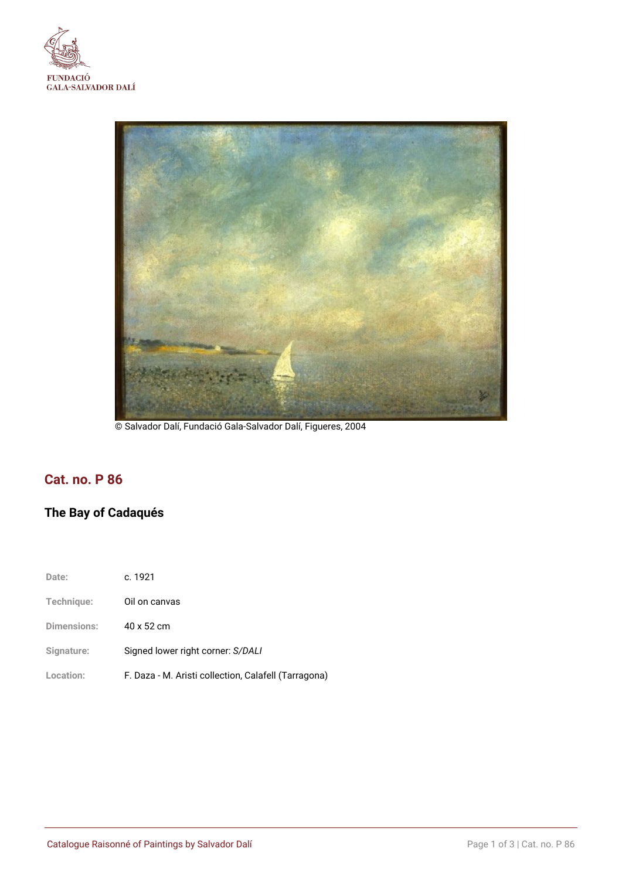



© Salvador Dalí, Fundació Gala-Salvador Dalí, Figueres, 2004

## **Cat. no. P 86**

# **The Bay of Cadaqués**

| Date:              | c. 1921                                              |
|--------------------|------------------------------------------------------|
| Technique:         | Oil on canvas                                        |
| <b>Dimensions:</b> | 40 x 52 cm                                           |
| Signature:         | Signed lower right corner: S/DALI                    |
| Location:          | F. Daza - M. Aristi collection, Calafell (Tarragona) |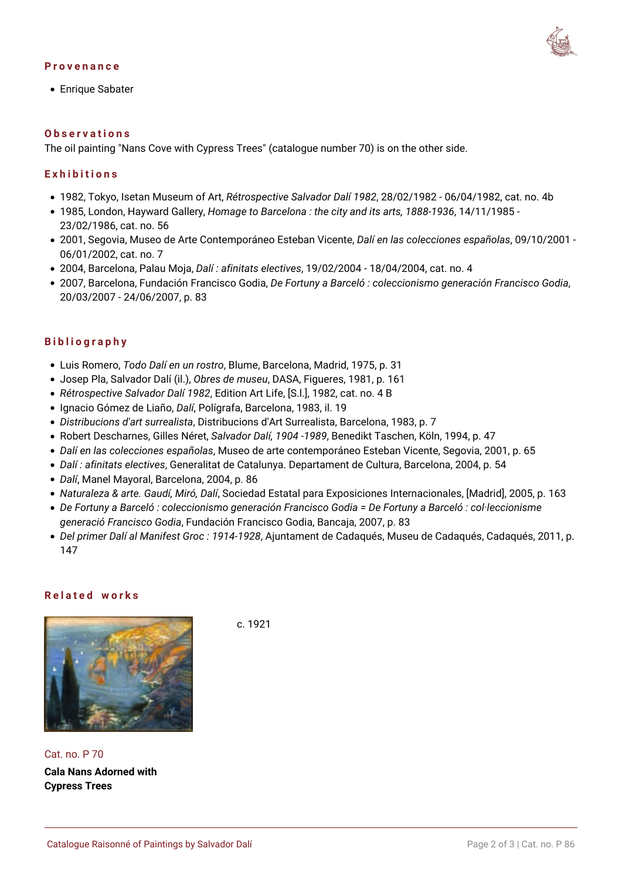#### **Provenance**



Enrique Sabater

#### **Observations**

The oil painting "Nans Cove with Cypress Trees" (catalogue number [70\)](https://www.salvador-dali.org/en/artwork/catalogue-raisonne-paintings/obra/70/cala-nans-adornada-de-xipresos) is on the other side.

#### **Exhibitions**

- 1982, Tokyo, Isetan Museum of Art, *Rétrospective Salvador Dalí 1982*, 28/02/1982 06/04/1982, cat. no. 4b
- 1985, London, Hayward Gallery, *Homage to Barcelona : the city and its arts, 1888-1936*, 14/11/1985 23/02/1986, cat. no. 56
- 2001, Segovia, Museo de Arte Contemporáneo Esteban Vicente, *Dalí en las colecciones españolas*, 09/10/2001 06/01/2002, cat. no. 7
- 2004, Barcelona, Palau Moja, *Dalí : afinitats electives*, 19/02/2004 18/04/2004, cat. no. 4
- 2007, Barcelona, Fundación Francisco Godia, *De Fortuny a Barceló : coleccionismo generación Francisco Godia*, 20/03/2007 - 24/06/2007, p. 83

#### **Bibliography**

- Luis Romero, *Todo Dalí en un rostro*, Blume, Barcelona, Madrid, 1975, p. 31
- Josep Pla, Salvador Dalí (il.), *Obres de museu*, DASA, Figueres, 1981, p. 161
- *Rétrospective Salvador Dalí 1982*, Edition Art Life, [S.l.], 1982, cat. no. 4 B
- Ignacio Gómez de Liaño, *Dalí*, Polígrafa, Barcelona, 1983, il. 19
- *Distribucions d'art surrealista*, Distribucions d'Art Surrealista, Barcelona, 1983, p. 7
- Robert Descharnes, Gilles Néret, *Salvador Dalí, 1904 -1989*, Benedikt Taschen, Köln, 1994, p. 47
- *Dalí en las colecciones españolas*, Museo de arte contemporáneo Esteban Vicente, Segovia, 2001, p. 65
- *Dalí : afinitats electives*, Generalitat de Catalunya. Departament de Cultura, Barcelona, 2004, p. 54
- *Dalí*, Manel Mayoral, Barcelona, 2004, p. 86
- *Naturaleza & arte. Gaudí, Miró, Dalí*, Sociedad Estatal para Exposiciones Internacionales, [Madrid], 2005, p. 163
- *De Fortuny a Barceló : coleccionismo generación Francisco Godia = De Fortuny a Barceló : col·leccionisme generació Francisco Godia*, Fundación Francisco Godia, Bancaja, 2007, p. 83
- *Del primer Dalí al Manifest Groc : 1914-1928*, Ajuntament de Cadaqués, Museu de Cadaqués, Cadaqués, 2011, p. 147

#### **Related works**



Cat. no. P 70 **Cala Nans Adorned with Cypress Trees**

c. 1921